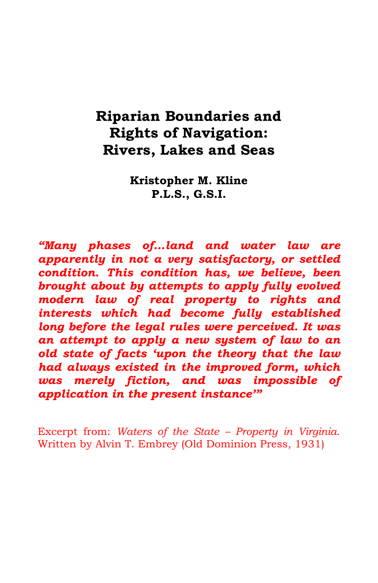# **Riparian Boundaries and Rights of Navigation: Rivers, Lakes and Seas**

**Kristopher M. Kline P.L.S., G.S.I.**

*"Many phases of…land and water law are apparently in not a very satisfactory, or settled condition. This condition has, we believe, been brought about by attempts to apply fully evolved modern law of real property to rights and interests which had become fully established long before the legal rules were perceived. It was an attempt to apply a new system of law to an old state of facts 'upon the theory that the law had always existed in the improved form, which was merely fiction, and was impossible of application in the present instance'"*

Excerpt from: *Waters of the State – Property in Virginia*. Written by Alvin T. Embrey (Old Dominion Press, 1931)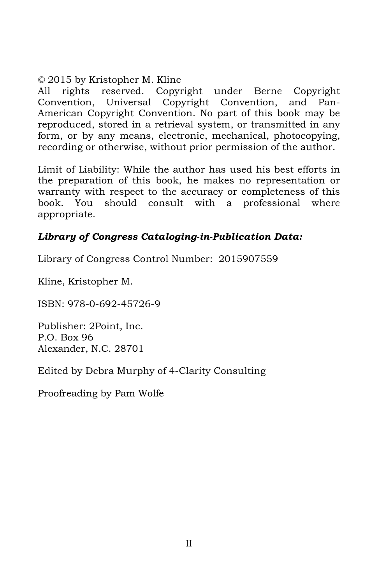#### © 2015 by Kristopher M. Kline

All rights reserved. Copyright under Berne Copyright Convention, Universal Copyright Convention, and Pan-American Copyright Convention. No part of this book may be reproduced, stored in a retrieval system, or transmitted in any form, or by any means, electronic, mechanical, photocopying, recording or otherwise, without prior permission of the author.

Limit of Liability: While the author has used his best efforts in the preparation of this book, he makes no representation or warranty with respect to the accuracy or completeness of this book. You should consult with a professional where appropriate.

### *Library of Congress Cataloging-in-Publication Data:*

Library of Congress Control Number: 2015907559

Kline, Kristopher M.

ISBN: 978-0-692-45726-9

Publisher: 2Point, Inc. P.O. Box 96 Alexander, N.C. 28701

Edited by Debra Murphy of 4-Clarity Consulting

Proofreading by Pam Wolfe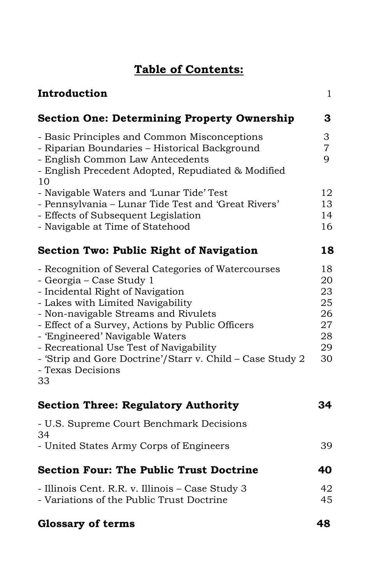## **Table of Contents:**

| Introduction                                                                                                                                                                                                                                                                                                                                                                                                               | 1                                                  |
|----------------------------------------------------------------------------------------------------------------------------------------------------------------------------------------------------------------------------------------------------------------------------------------------------------------------------------------------------------------------------------------------------------------------------|----------------------------------------------------|
| <b>Section One: Determining Property Ownership</b>                                                                                                                                                                                                                                                                                                                                                                         | 3                                                  |
| - Basic Principles and Common Misconceptions<br>- Riparian Boundaries - Historical Background<br>- English Common Law Antecedents<br>- English Precedent Adopted, Repudiated & Modified<br>10                                                                                                                                                                                                                              | 3<br>7<br>9                                        |
| - Navigable Waters and 'Lunar Tide' Test<br>- Pennsylvania - Lunar Tide Test and 'Great Rivers'<br>- Effects of Subsequent Legislation                                                                                                                                                                                                                                                                                     | 12<br>13<br>14                                     |
| - Navigable at Time of Statehood                                                                                                                                                                                                                                                                                                                                                                                           | 16                                                 |
| <b>Section Two: Public Right of Navigation</b>                                                                                                                                                                                                                                                                                                                                                                             | 18                                                 |
| - Recognition of Several Categories of Watercourses<br>- Georgia – Case Study 1<br>- Incidental Right of Navigation<br>- Lakes with Limited Navigability<br>- Non-navigable Streams and Rivulets<br>- Effect of a Survey, Actions by Public Officers<br>- 'Engineered' Navigable Waters<br>- Recreational Use Test of Navigability<br>- 'Strip and Gore Doctrine'/Starr v. Child - Case Study 2<br>- Texas Decisions<br>33 | 18<br>20<br>23<br>25<br>26<br>27<br>28<br>29<br>30 |
| <b>Section Three: Regulatory Authority</b>                                                                                                                                                                                                                                                                                                                                                                                 | 34                                                 |
| - U.S. Supreme Court Benchmark Decisions<br>34                                                                                                                                                                                                                                                                                                                                                                             |                                                    |
| - United States Army Corps of Engineers                                                                                                                                                                                                                                                                                                                                                                                    | 39                                                 |
| <b>Section Four: The Public Trust Doctrine</b>                                                                                                                                                                                                                                                                                                                                                                             | 40                                                 |
| - Illinois Cent. R.R. v. Illinois – Case Study 3<br>- Variations of the Public Trust Doctrine                                                                                                                                                                                                                                                                                                                              | 42<br>45                                           |
| <b>Glossary of terms</b>                                                                                                                                                                                                                                                                                                                                                                                                   | 48                                                 |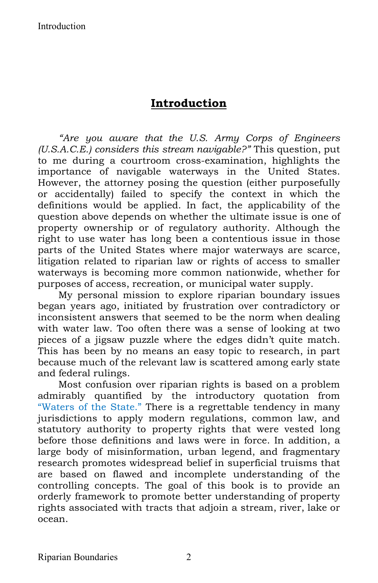### **Introduction**

*"Are you aware that the U.S. Army Corps of Engineers (U.S.A.C.E.) considers this stream navigable?"* This question, put to me during a courtroom cross-examination, highlights the importance of navigable waterways in the United States. However, the attorney posing the question (either purposefully or accidentally) failed to specify the context in which the definitions would be applied. In fact, the applicability of the question above depends on whether the ultimate issue is one of property ownership or of regulatory authority. Although the right to use water has long been a contentious issue in those parts of the United States where major waterways are scarce, litigation related to riparian law or rights of access to smaller waterways is becoming more common nationwide, whether for purposes of access, recreation, or municipal water supply.

My personal mission to explore riparian boundary issues began years ago, initiated by frustration over contradictory or inconsistent answers that seemed to be the norm when dealing with water law. Too often there was a sense of looking at two pieces of a jigsaw puzzle where the edges didn't quite match. This has been by no means an easy topic to research, in part because much of the relevant law is scattered among early state and federal rulings.

Most confusion over riparian rights is based on a problem admirably quantified by the introductory quotation from "Waters of the State." There is a regrettable tendency in many jurisdictions to apply modern regulations, common law, and statutory authority to property rights that were vested long before those definitions and laws were in force. In addition, a large body of misinformation, urban legend, and fragmentary research promotes widespread belief in superficial truisms that are based on flawed and incomplete understanding of the controlling concepts. The goal of this book is to provide an orderly framework to promote better understanding of property rights associated with tracts that adjoin a stream, river, lake or ocean.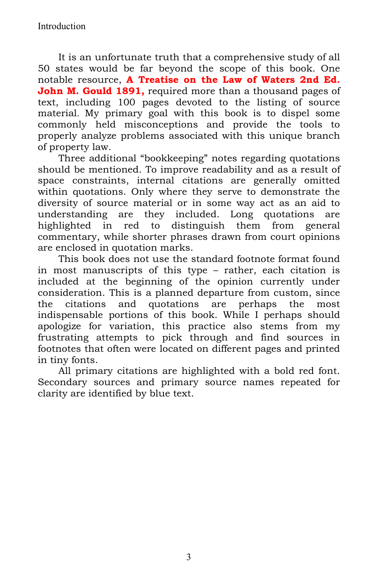It is an unfortunate truth that a comprehensive study of all 50 states would be far beyond the scope of this book. One notable resource, **A Treatise on the Law of Waters 2nd Ed. John M. Gould 1891,** required more than a thousand pages of text, including 100 pages devoted to the listing of source material. My primary goal with this book is to dispel some commonly held misconceptions and provide the tools to properly analyze problems associated with this unique branch of property law.

Three additional "bookkeeping" notes regarding quotations should be mentioned. To improve readability and as a result of space constraints, internal citations are generally omitted within quotations. Only where they serve to demonstrate the diversity of source material or in some way act as an aid to understanding are they included. Long quotations are highlighted in red to distinguish them from general commentary, while shorter phrases drawn from court opinions are enclosed in quotation marks.

This book does not use the standard footnote format found in most manuscripts of this type – rather, each citation is included at the beginning of the opinion currently under consideration. This is a planned departure from custom, since the citations and quotations are perhaps the most indispensable portions of this book. While I perhaps should apologize for variation, this practice also stems from my frustrating attempts to pick through and find sources in footnotes that often were located on different pages and printed in tiny fonts.

All primary citations are highlighted with a bold red font. Secondary sources and primary source names repeated for clarity are identified by blue text.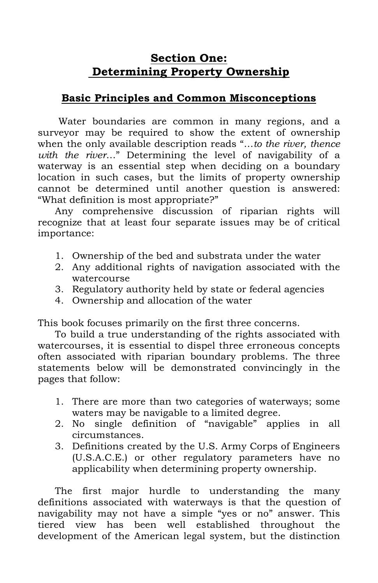## **Section One: Determining Property Ownership**

### **Basic Principles and Common Misconceptions**

Water boundaries are common in many regions, and a surveyor may be required to show the extent of ownership when the only available description reads "…*to the river, thence with the river*…" Determining the level of navigability of a waterway is an essential step when deciding on a boundary location in such cases, but the limits of property ownership cannot be determined until another question is answered: "What definition is most appropriate?"

Any comprehensive discussion of riparian rights will recognize that at least four separate issues may be of critical importance:

- 1. Ownership of the bed and substrata under the water
- 2. Any additional rights of navigation associated with the watercourse
- 3. Regulatory authority held by state or federal agencies
- 4. Ownership and allocation of the water

This book focuses primarily on the first three concerns.

To build a true understanding of the rights associated with watercourses, it is essential to dispel three erroneous concepts often associated with riparian boundary problems. The three statements below will be demonstrated convincingly in the pages that follow:

- 1. There are more than two categories of waterways; some waters may be navigable to a limited degree.
- 2. No single definition of "navigable" applies in all circumstances.
- 3. Definitions created by the U.S. Army Corps of Engineers (U.S.A.C.E.) or other regulatory parameters have no applicability when determining property ownership.

The first major hurdle to understanding the many definitions associated with waterways is that the question of navigability may not have a simple "yes or no" answer. This tiered view has been well established throughout the development of the American legal system, but the distinction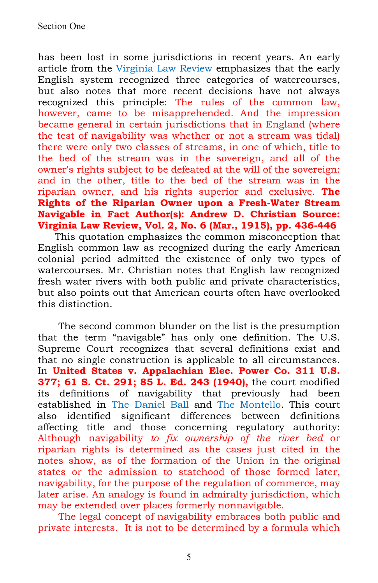has been lost in some jurisdictions in recent years. An early article from the Virginia Law Review emphasizes that the early English system recognized three categories of watercourses, but also notes that more recent decisions have not always recognized this principle: The rules of the common law, however, came to be misapprehended. And the impression became general in certain jurisdictions that in England (where the test of navigability was whether or not a stream was tidal) there were only two classes of streams, in one of which, title to the bed of the stream was in the sovereign, and all of the owner's rights subject to be defeated at the will of the sovereign: and in the other, title to the bed of the stream was in the riparian owner, and his rights superior and exclusive. **The Rights of the Riparian Owner upon a Fresh-Water Stream Navigable in Fact Author(s): Andrew D. Christian Source: Virginia Law Review, Vol. 2, No. 6 (Mar., 1915), pp. 436-446**

This quotation emphasizes the common misconception that English common law as recognized during the early American colonial period admitted the existence of only two types of watercourses. Mr. Christian notes that English law recognized fresh water rivers with both public and private characteristics, but also points out that American courts often have overlooked this distinction.

The second common blunder on the list is the presumption that the term "navigable" has only one definition. The U.S. Supreme Court recognizes that several definitions exist and that no single construction is applicable to all circumstances. In **United States v. Appalachian Elec. Power Co. 311 U.S. 377; 61 S. Ct. 291; 85 L. Ed. 243 (1940),** the court modified its definitions of navigability that previously had been established in The Daniel Ball and The Montello. This court also identified significant differences between definitions affecting title and those concerning regulatory authority: Although navigability *to fix ownership of the river bed* or riparian rights is determined as the cases just cited in the notes show, as of the formation of the Union in the original states or the admission to statehood of those formed later, navigability, for the purpose of the regulation of commerce, may later arise. An analogy is found in admiralty jurisdiction, which may be extended over places formerly nonnavigable.

The legal concept of navigability embraces both public and private interests. It is not to be determined by a formula which